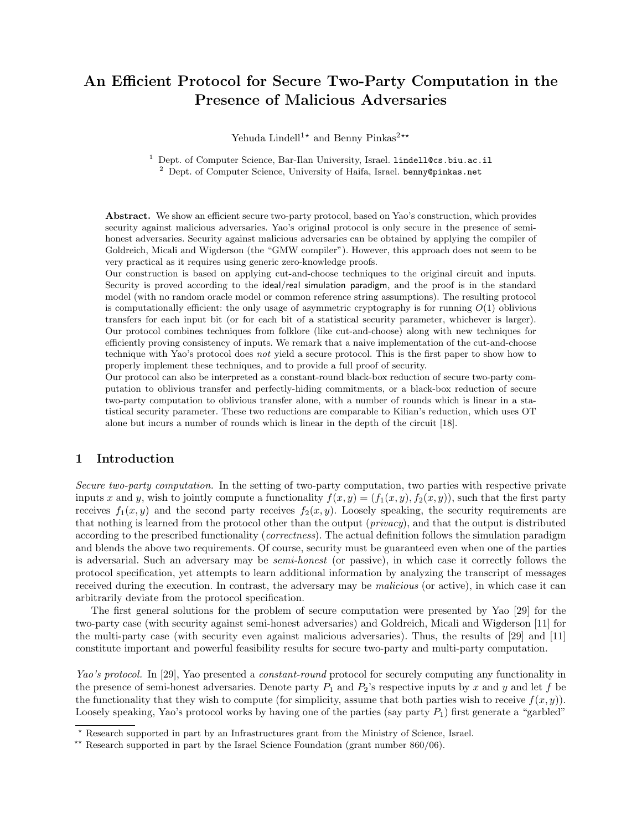# An Efficient Protocol for Secure Two-Party Computation in the Presence of Malicious Adversaries

Yehuda Lindell<sup>1\*</sup> and Benny Pinkas<sup>2\*\*</sup>

<sup>1</sup> Dept. of Computer Science, Bar-Ilan University, Israel. lindell@cs.biu.ac.il  $2$  Dept. of Computer Science, University of Haifa, Israel. benny@pinkas.net

Abstract. We show an efficient secure two-party protocol, based on Yao's construction, which provides security against malicious adversaries. Yao's original protocol is only secure in the presence of semihonest adversaries. Security against malicious adversaries can be obtained by applying the compiler of Goldreich, Micali and Wigderson (the "GMW compiler"). However, this approach does not seem to be very practical as it requires using generic zero-knowledge proofs.

Our construction is based on applying cut-and-choose techniques to the original circuit and inputs. Security is proved according to the ideal/real simulation paradigm, and the proof is in the standard model (with no random oracle model or common reference string assumptions). The resulting protocol is computationally efficient: the only usage of asymmetric cryptography is for running  $O(1)$  oblivious transfers for each input bit (or for each bit of a statistical security parameter, whichever is larger). Our protocol combines techniques from folklore (like cut-and-choose) along with new techniques for efficiently proving consistency of inputs. We remark that a naive implementation of the cut-and-choose technique with Yao's protocol does not yield a secure protocol. This is the first paper to show how to properly implement these techniques, and to provide a full proof of security.

Our protocol can also be interpreted as a constant-round black-box reduction of secure two-party computation to oblivious transfer and perfectly-hiding commitments, or a black-box reduction of secure two-party computation to oblivious transfer alone, with a number of rounds which is linear in a statistical security parameter. These two reductions are comparable to Kilian's reduction, which uses OT alone but incurs a number of rounds which is linear in the depth of the circuit [18].

# 1 Introduction

Secure two-party computation. In the setting of two-party computation, two parties with respective private inputs x and y, wish to jointly compute a functionality  $f(x, y) = (f_1(x, y), f_2(x, y))$ , such that the first party receives  $f_1(x, y)$  and the second party receives  $f_2(x, y)$ . Loosely speaking, the security requirements are that nothing is learned from the protocol other than the output (privacy), and that the output is distributed according to the prescribed functionality (*correctness*). The actual definition follows the simulation paradigm and blends the above two requirements. Of course, security must be guaranteed even when one of the parties is adversarial. Such an adversary may be semi-honest (or passive), in which case it correctly follows the protocol specification, yet attempts to learn additional information by analyzing the transcript of messages received during the execution. In contrast, the adversary may be malicious (or active), in which case it can arbitrarily deviate from the protocol specification.

The first general solutions for the problem of secure computation were presented by Yao [29] for the two-party case (with security against semi-honest adversaries) and Goldreich, Micali and Wigderson [11] for the multi-party case (with security even against malicious adversaries). Thus, the results of [29] and [11] constitute important and powerful feasibility results for secure two-party and multi-party computation.

Yao's protocol. In [29], Yao presented a constant-round protocol for securely computing any functionality in the presence of semi-honest adversaries. Denote party  $P_1$  and  $P_2$ 's respective inputs by x and y and let f be the functionality that they wish to compute (for simplicity, assume that both parties wish to receive  $f(x, y)$ ). Loosely speaking, Yao's protocol works by having one of the parties (say party  $P_1$ ) first generate a "garbled"

<sup>?</sup> Research supported in part by an Infrastructures grant from the Ministry of Science, Israel.

<sup>\*\*</sup> Research supported in part by the Israel Science Foundation (grant number  $860/06$ ).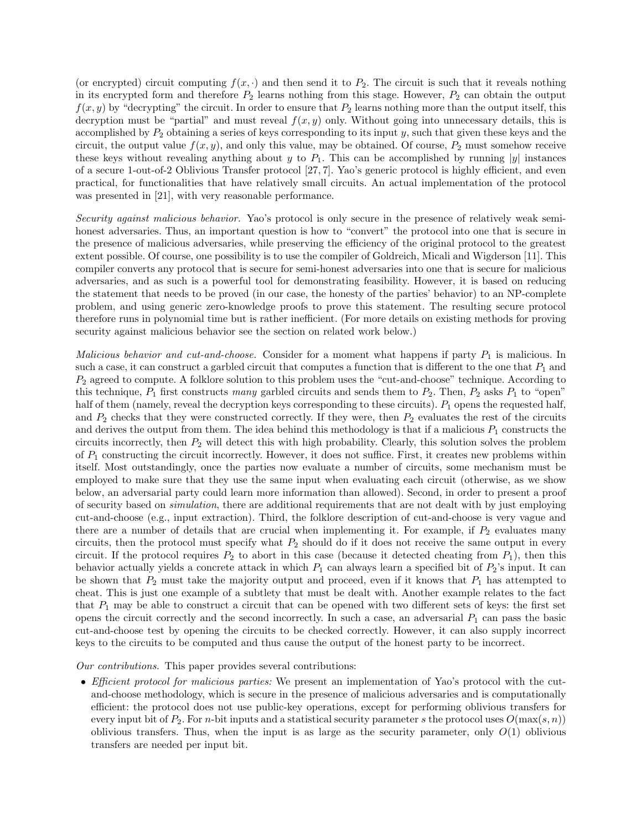(or encrypted) circuit computing  $f(x, \cdot)$  and then send it to  $P_2$ . The circuit is such that it reveals nothing in its encrypted form and therefore  $P_2$  learns nothing from this stage. However,  $P_2$  can obtain the output  $f(x, y)$  by "decrypting" the circuit. In order to ensure that  $P_2$  learns nothing more than the output itself, this decryption must be "partial" and must reveal  $f(x, y)$  only. Without going into unnecessary details, this is accomplished by  $P_2$  obtaining a series of keys corresponding to its input y, such that given these keys and the circuit, the output value  $f(x, y)$ , and only this value, may be obtained. Of course,  $P_2$  must somehow receive these keys without revealing anything about y to  $P_1$ . This can be accomplished by running |y| instances of a secure 1-out-of-2 Oblivious Transfer protocol [27, 7]. Yao's generic protocol is highly efficient, and even practical, for functionalities that have relatively small circuits. An actual implementation of the protocol was presented in [21], with very reasonable performance.

Security against malicious behavior. Yao's protocol is only secure in the presence of relatively weak semihonest adversaries. Thus, an important question is how to "convert" the protocol into one that is secure in the presence of malicious adversaries, while preserving the efficiency of the original protocol to the greatest extent possible. Of course, one possibility is to use the compiler of Goldreich, Micali and Wigderson [11]. This compiler converts any protocol that is secure for semi-honest adversaries into one that is secure for malicious adversaries, and as such is a powerful tool for demonstrating feasibility. However, it is based on reducing the statement that needs to be proved (in our case, the honesty of the parties' behavior) to an NP-complete problem, and using generic zero-knowledge proofs to prove this statement. The resulting secure protocol therefore runs in polynomial time but is rather inefficient. (For more details on existing methods for proving security against malicious behavior see the section on related work below.)

Malicious behavior and cut-and-choose. Consider for a moment what happens if party  $P_1$  is malicious. In such a case, it can construct a garbled circuit that computes a function that is different to the one that  $P_1$  and  $P_2$  agreed to compute. A folklore solution to this problem uses the "cut-and-choose" technique. According to this technique,  $P_1$  first constructs many garbled circuits and sends them to  $P_2$ . Then,  $P_2$  asks  $P_1$  to "open" half of them (namely, reveal the decryption keys corresponding to these circuits).  $P_1$  opens the requested half, and  $P_2$  checks that they were constructed correctly. If they were, then  $P_2$  evaluates the rest of the circuits and derives the output from them. The idea behind this methodology is that if a malicious  $P_1$  constructs the circuits incorrectly, then  $P_2$  will detect this with high probability. Clearly, this solution solves the problem of  $P_1$  constructing the circuit incorrectly. However, it does not suffice. First, it creates new problems within itself. Most outstandingly, once the parties now evaluate a number of circuits, some mechanism must be employed to make sure that they use the same input when evaluating each circuit (otherwise, as we show below, an adversarial party could learn more information than allowed). Second, in order to present a proof of security based on simulation, there are additional requirements that are not dealt with by just employing cut-and-choose (e.g., input extraction). Third, the folklore description of cut-and-choose is very vague and there are a number of details that are crucial when implementing it. For example, if  $P_2$  evaluates many circuits, then the protocol must specify what  $P_2$  should do if it does not receive the same output in every circuit. If the protocol requires  $P_2$  to abort in this case (because it detected cheating from  $P_1$ ), then this behavior actually yields a concrete attack in which  $P_1$  can always learn a specified bit of  $P_2$ 's input. It can be shown that  $P_2$  must take the majority output and proceed, even if it knows that  $P_1$  has attempted to cheat. This is just one example of a subtlety that must be dealt with. Another example relates to the fact that  $P_1$  may be able to construct a circuit that can be opened with two different sets of keys: the first set opens the circuit correctly and the second incorrectly. In such a case, an adversarial  $P_1$  can pass the basic cut-and-choose test by opening the circuits to be checked correctly. However, it can also supply incorrect keys to the circuits to be computed and thus cause the output of the honest party to be incorrect.

Our contributions. This paper provides several contributions:

• Efficient protocol for malicious parties: We present an implementation of Yao's protocol with the cutand-choose methodology, which is secure in the presence of malicious adversaries and is computationally efficient: the protocol does not use public-key operations, except for performing oblivious transfers for every input bit of  $P_2$ . For *n*-bit inputs and a statistical security parameter s the protocol uses  $O(\max(s, n))$ oblivious transfers. Thus, when the input is as large as the security parameter, only  $O(1)$  oblivious transfers are needed per input bit.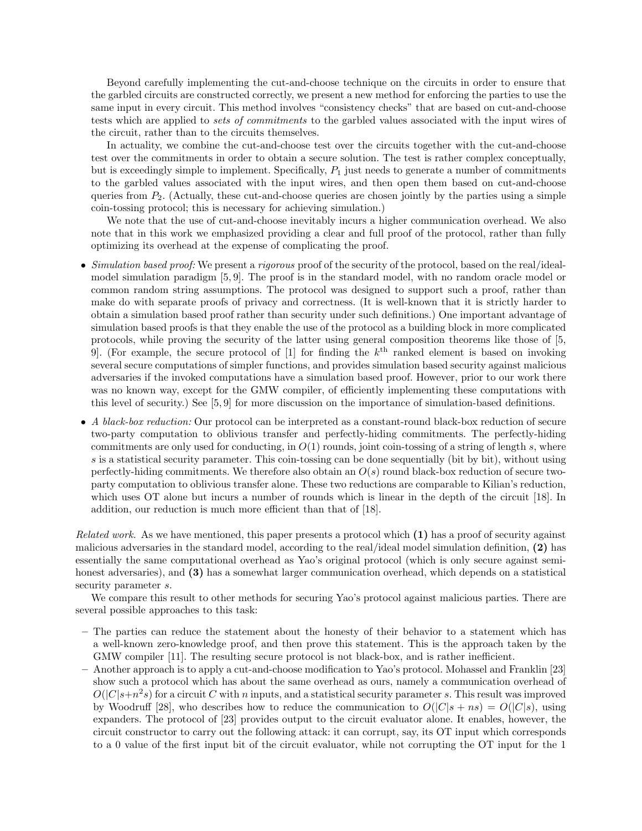Beyond carefully implementing the cut-and-choose technique on the circuits in order to ensure that the garbled circuits are constructed correctly, we present a new method for enforcing the parties to use the same input in every circuit. This method involves "consistency checks" that are based on cut-and-choose tests which are applied to sets of commitments to the garbled values associated with the input wires of the circuit, rather than to the circuits themselves.

In actuality, we combine the cut-and-choose test over the circuits together with the cut-and-choose test over the commitments in order to obtain a secure solution. The test is rather complex conceptually, but is exceedingly simple to implement. Specifically,  $P_1$  just needs to generate a number of commitments to the garbled values associated with the input wires, and then open them based on cut-and-choose queries from  $P_2$ . (Actually, these cut-and-choose queries are chosen jointly by the parties using a simple coin-tossing protocol; this is necessary for achieving simulation.)

We note that the use of cut-and-choose inevitably incurs a higher communication overhead. We also note that in this work we emphasized providing a clear and full proof of the protocol, rather than fully optimizing its overhead at the expense of complicating the proof.

- Simulation based proof: We present a rigorous proof of the security of the protocol, based on the real/idealmodel simulation paradigm [5,9]. The proof is in the standard model, with no random oracle model or common random string assumptions. The protocol was designed to support such a proof, rather than make do with separate proofs of privacy and correctness. (It is well-known that it is strictly harder to obtain a simulation based proof rather than security under such definitions.) One important advantage of simulation based proofs is that they enable the use of the protocol as a building block in more complicated protocols, while proving the security of the latter using general composition theorems like those of [5, 9. (For example, the secure protocol of  $[1]$  for finding the  $k<sup>th</sup>$  ranked element is based on invoking several secure computations of simpler functions, and provides simulation based security against malicious adversaries if the invoked computations have a simulation based proof. However, prior to our work there was no known way, except for the GMW compiler, of efficiently implementing these computations with this level of security.) See [5, 9] for more discussion on the importance of simulation-based definitions.
- A black-box reduction: Our protocol can be interpreted as a constant-round black-box reduction of secure two-party computation to oblivious transfer and perfectly-hiding commitments. The perfectly-hiding commitments are only used for conducting, in  $O(1)$  rounds, joint coin-tossing of a string of length s, where s is a statistical security parameter. This coin-tossing can be done sequentially (bit by bit), without using perfectly-hiding commitments. We therefore also obtain an  $O(s)$  round black-box reduction of secure twoparty computation to oblivious transfer alone. These two reductions are comparable to Kilian's reduction, which uses OT alone but incurs a number of rounds which is linear in the depth of the circuit [18]. In addition, our reduction is much more efficient than that of [18].

Related work. As we have mentioned, this paper presents a protocol which (1) has a proof of security against malicious adversaries in the standard model, according to the real/ideal model simulation definition, (2) has essentially the same computational overhead as Yao's original protocol (which is only secure against semihonest adversaries), and (3) has a somewhat larger communication overhead, which depends on a statistical security parameter s.

We compare this result to other methods for securing Yao's protocol against malicious parties. There are several possible approaches to this task:

- The parties can reduce the statement about the honesty of their behavior to a statement which has a well-known zero-knowledge proof, and then prove this statement. This is the approach taken by the GMW compiler [11]. The resulting secure protocol is not black-box, and is rather inefficient.
- Another approach is to apply a cut-and-choose modification to Yao's protocol. Mohassel and Franklin [23] show such a protocol which has about the same overhead as ours, namely a communication overhead of  $O(|C|s+n^2s)$  for a circuit C with n inputs, and a statistical security parameter s. This result was improved by Woodruff [28], who describes how to reduce the communication to  $O(|C|s + ns) = O(|C|s)$ , using expanders. The protocol of [23] provides output to the circuit evaluator alone. It enables, however, the circuit constructor to carry out the following attack: it can corrupt, say, its OT input which corresponds to a 0 value of the first input bit of the circuit evaluator, while not corrupting the OT input for the 1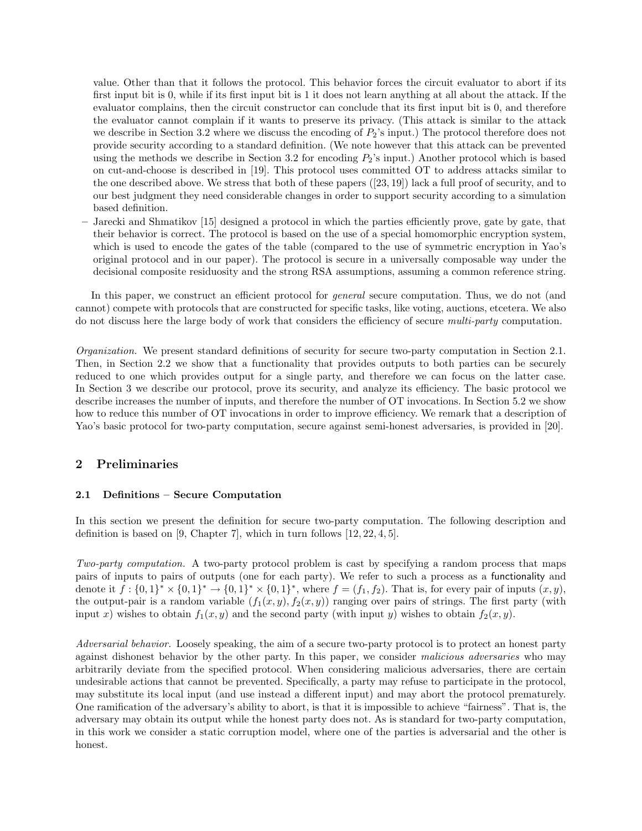value. Other than that it follows the protocol. This behavior forces the circuit evaluator to abort if its first input bit is 0, while if its first input bit is 1 it does not learn anything at all about the attack. If the evaluator complains, then the circuit constructor can conclude that its first input bit is 0, and therefore the evaluator cannot complain if it wants to preserve its privacy. (This attack is similar to the attack we describe in Section 3.2 where we discuss the encoding of  $P_2$ 's input.) The protocol therefore does not provide security according to a standard definition. (We note however that this attack can be prevented using the methods we describe in Section 3.2 for encoding  $P_2$ 's input.) Another protocol which is based on cut-and-choose is described in [19]. This protocol uses committed OT to address attacks similar to the one described above. We stress that both of these papers ([23, 19]) lack a full proof of security, and to our best judgment they need considerable changes in order to support security according to a simulation based definition.

– Jarecki and Shmatikov [15] designed a protocol in which the parties efficiently prove, gate by gate, that their behavior is correct. The protocol is based on the use of a special homomorphic encryption system, which is used to encode the gates of the table (compared to the use of symmetric encryption in Yao's original protocol and in our paper). The protocol is secure in a universally composable way under the decisional composite residuosity and the strong RSA assumptions, assuming a common reference string.

In this paper, we construct an efficient protocol for *general* secure computation. Thus, we do not (and cannot) compete with protocols that are constructed for specific tasks, like voting, auctions, etcetera. We also do not discuss here the large body of work that considers the efficiency of secure multi-party computation.

Organization. We present standard definitions of security for secure two-party computation in Section 2.1. Then, in Section 2.2 we show that a functionality that provides outputs to both parties can be securely reduced to one which provides output for a single party, and therefore we can focus on the latter case. In Section 3 we describe our protocol, prove its security, and analyze its efficiency. The basic protocol we describe increases the number of inputs, and therefore the number of OT invocations. In Section 5.2 we show how to reduce this number of OT invocations in order to improve efficiency. We remark that a description of Yao's basic protocol for two-party computation, secure against semi-honest adversaries, is provided in [20].

# 2 Preliminaries

### 2.1 Definitions – Secure Computation

In this section we present the definition for secure two-party computation. The following description and definition is based on [9, Chapter 7], which in turn follows [12, 22, 4, 5].

Two-party computation. A two-party protocol problem is cast by specifying a random process that maps pairs of inputs to pairs of outputs (one for each party). We refer to such a process as a functionality and denote it  $f: \{0,1\}^* \times \{0,1\}^* \to \{0,1\}^* \times \{0,1\}^*$ , where  $f = (f_1, f_2)$ . That is, for every pair of inputs  $(x, y)$ , the output-pair is a random variable  $(f_1(x, y), f_2(x, y))$  ranging over pairs of strings. The first party (with input x) wishes to obtain  $f_1(x, y)$  and the second party (with input y) wishes to obtain  $f_2(x, y)$ .

Adversarial behavior. Loosely speaking, the aim of a secure two-party protocol is to protect an honest party against dishonest behavior by the other party. In this paper, we consider malicious adversaries who may arbitrarily deviate from the specified protocol. When considering malicious adversaries, there are certain undesirable actions that cannot be prevented. Specifically, a party may refuse to participate in the protocol, may substitute its local input (and use instead a different input) and may abort the protocol prematurely. One ramification of the adversary's ability to abort, is that it is impossible to achieve "fairness". That is, the adversary may obtain its output while the honest party does not. As is standard for two-party computation, in this work we consider a static corruption model, where one of the parties is adversarial and the other is honest.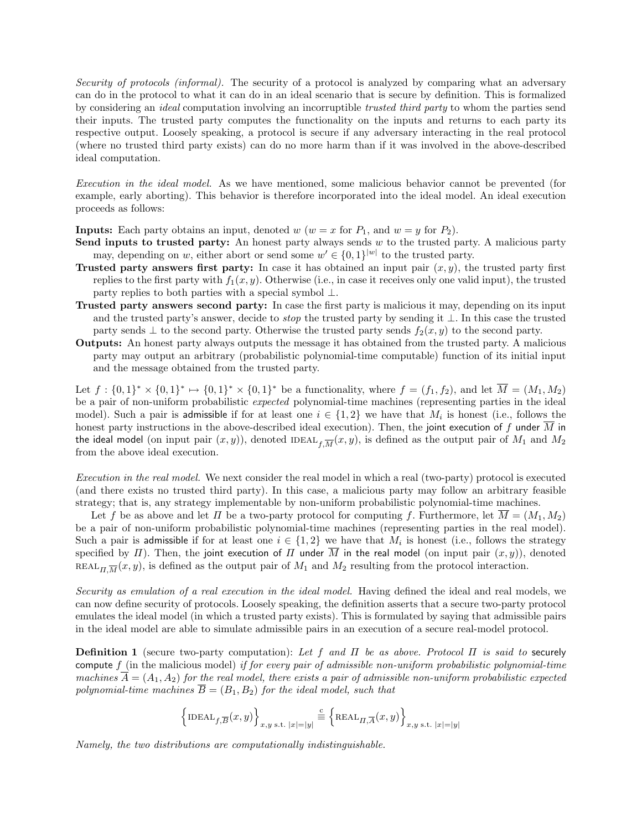Security of protocols (informal). The security of a protocol is analyzed by comparing what an adversary can do in the protocol to what it can do in an ideal scenario that is secure by definition. This is formalized by considering an *ideal* computation involving an incorruptible *trusted third party* to whom the parties send their inputs. The trusted party computes the functionality on the inputs and returns to each party its respective output. Loosely speaking, a protocol is secure if any adversary interacting in the real protocol (where no trusted third party exists) can do no more harm than if it was involved in the above-described ideal computation.

Execution in the ideal model. As we have mentioned, some malicious behavior cannot be prevented (for example, early aborting). This behavior is therefore incorporated into the ideal model. An ideal execution proceeds as follows:

**Inputs:** Each party obtains an input, denoted w ( $w = x$  for  $P_1$ , and  $w = y$  for  $P_2$ ).

- Send inputs to trusted party: An honest party always sends  $w$  to the trusted party. A malicious party may, depending on w, either abort or send some  $w' \in \{0,1\}^{|w|}$  to the trusted party.
- **Trusted party answers first party:** In case it has obtained an input pair  $(x, y)$ , the trusted party first replies to the first party with  $f_1(x, y)$ . Otherwise (i.e., in case it receives only one valid input), the trusted party replies to both parties with a special symbol ⊥.
- Trusted party answers second party: In case the first party is malicious it may, depending on its input and the trusted party's answer, decide to stop the trusted party by sending it ⊥. In this case the trusted party sends  $\perp$  to the second party. Otherwise the trusted party sends  $f_2(x, y)$  to the second party.
- Outputs: An honest party always outputs the message it has obtained from the trusted party. A malicious party may output an arbitrary (probabilistic polynomial-time computable) function of its initial input and the message obtained from the trusted party.

Let  $f: \{0,1\}^* \times \{0,1\}^* \mapsto \{0,1\}^* \times \{0,1\}^*$  be a functionality, where  $f = (f_1, f_2)$ , and let  $\overline{M} = (M_1, M_2)$ be a pair of non-uniform probabilistic *expected* polynomial-time machines (representing parties in the ideal model). Such a pair is admissible if for at least one  $i \in \{1,2\}$  we have that  $M_i$  is honest (i.e., follows the honest party instructions in the above-described ideal execution). Then, the joint execution of f under  $\overline{M}$  in the ideal model (on input pair  $(x, y)$ ), denoted IDEAL<sub>f,M</sub> $(x, y)$ , is defined as the output pair of M<sub>1</sub> and M<sub>2</sub> from the above ideal execution.

Execution in the real model. We next consider the real model in which a real (two-party) protocol is executed (and there exists no trusted third party). In this case, a malicious party may follow an arbitrary feasible strategy; that is, any strategy implementable by non-uniform probabilistic polynomial-time machines.

Let f be as above and let  $\Pi$  be a two-party protocol for computing f. Furthermore, let  $\overline{M} = (M_1, M_2)$ be a pair of non-uniform probabilistic polynomial-time machines (representing parties in the real model). Such a pair is admissible if for at least one  $i \in \{1,2\}$  we have that  $M_i$  is honest (i.e., follows the strategy specified by  $\Pi$ ). Then, the joint execution of  $\Pi$  under  $\overline{M}$  in the real model (on input pair  $(x, y)$ ), denoted REAL<sub>H</sub> $\overline{M}(x, y)$ , is defined as the output pair of  $M_1$  and  $M_2$  resulting from the protocol interaction.

Security as emulation of a real execution in the ideal model. Having defined the ideal and real models, we can now define security of protocols. Loosely speaking, the definition asserts that a secure two-party protocol emulates the ideal model (in which a trusted party exists). This is formulated by saying that admissible pairs in the ideal model are able to simulate admissible pairs in an execution of a secure real-model protocol.

**Definition 1** (secure two-party computation): Let f and  $\Pi$  be as above. Protocol  $\Pi$  is said to securely compute f (in the malicious model) if for every pair of admissible non-uniform probabilistic polynomial-time machines  $\overline{A} = (A_1, A_2)$  for the real model, there exists a pair of admissible non-uniform probabilistic expected polynomial-time machines  $\overline{B} = (B_1, B_2)$  for the ideal model, such that

$$
\Big\{{\rm IDEAL}_{f,\overline{B}}(x,y)\Big\}_{x,y\text{ s.t. } |x|=|y|} \stackrel{\text{c}}{=} \Big\{{\rm REAL}_{\varPi,\overline{A}}(x,y)\Big\}_{x,y\text{ s.t. } |x|=|y|}
$$

Namely, the two distributions are computationally indistinguishable.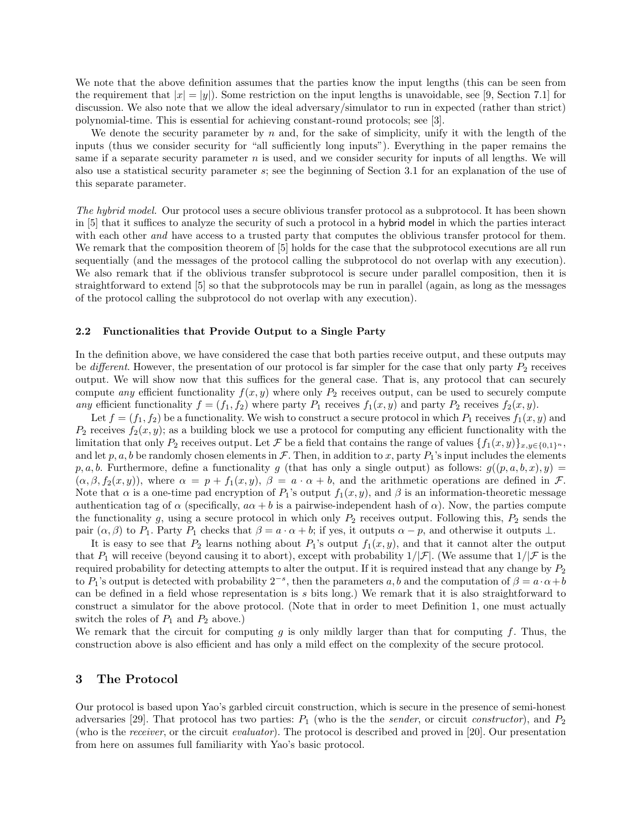We note that the above definition assumes that the parties know the input lengths (this can be seen from the requirement that  $|x| = |y|$ . Some restriction on the input lengths is unavoidable, see [9, Section 7.1] for discussion. We also note that we allow the ideal adversary/simulator to run in expected (rather than strict) polynomial-time. This is essential for achieving constant-round protocols; see [3].

We denote the security parameter by  $n$  and, for the sake of simplicity, unify it with the length of the inputs (thus we consider security for "all sufficiently long inputs"). Everything in the paper remains the same if a separate security parameter  $n$  is used, and we consider security for inputs of all lengths. We will also use a statistical security parameter s; see the beginning of Section 3.1 for an explanation of the use of this separate parameter.

The hybrid model. Our protocol uses a secure oblivious transfer protocol as a subprotocol. It has been shown in [5] that it suffices to analyze the security of such a protocol in a hybrid model in which the parties interact with each other and have access to a trusted party that computes the oblivious transfer protocol for them. We remark that the composition theorem of [5] holds for the case that the subprotocol executions are all run sequentially (and the messages of the protocol calling the subprotocol do not overlap with any execution). We also remark that if the oblivious transfer subprotocol is secure under parallel composition, then it is straightforward to extend [5] so that the subprotocols may be run in parallel (again, as long as the messages of the protocol calling the subprotocol do not overlap with any execution).

#### 2.2 Functionalities that Provide Output to a Single Party

In the definition above, we have considered the case that both parties receive output, and these outputs may be different. However, the presentation of our protocol is far simpler for the case that only party  $P_2$  receives output. We will show now that this suffices for the general case. That is, any protocol that can securely compute any efficient functionality  $f(x, y)$  where only  $P_2$  receives output, can be used to securely compute any efficient functionality  $f = (f_1, f_2)$  where party  $P_1$  receives  $f_1(x, y)$  and party  $P_2$  receives  $f_2(x, y)$ .

Let  $f = (f_1, f_2)$  be a functionality. We wish to construct a secure protocol in which  $P_1$  receives  $f_1(x, y)$  and  $P_2$  receives  $f_2(x, y)$ ; as a building block we use a protocol for computing any efficient functionality with the limitation that only P<sub>2</sub> receives output. Let F be a field that contains the range of values  $\{f_1(x, y)\}_{x, y\in\{0,1\}^n}$ , and let p, a, b be randomly chosen elements in  $\mathcal F$ . Then, in addition to x, party  $P_1$ 's input includes the elements  $p, a, b$ . Furthermore, define a functionality g (that has only a single output) as follows:  $g((p, a, b, x), y) =$  $(\alpha, \beta, f_2(x, y))$ , where  $\alpha = p + f_1(x, y)$ ,  $\beta = a \cdot \alpha + b$ , and the arithmetic operations are defined in F. Note that  $\alpha$  is a one-time pad encryption of  $P_1$ 's output  $f_1(x, y)$ , and  $\beta$  is an information-theoretic message authentication tag of  $\alpha$  (specifically,  $a\alpha + b$  is a pairwise-independent hash of  $\alpha$ ). Now, the parties compute the functionality g, using a secure protocol in which only  $P_2$  receives output. Following this,  $P_2$  sends the pair  $(\alpha, \beta)$  to P<sub>1</sub>. Party P<sub>1</sub> checks that  $\beta = a \cdot \alpha + b$ ; if yes, it outputs  $\alpha - p$ , and otherwise it outputs ⊥.

It is easy to see that  $P_2$  learns nothing about  $P_1$ 's output  $f_1(x, y)$ , and that it cannot alter the output that  $P_1$  will receive (beyond causing it to abort), except with probability  $1/|\mathcal{F}|$ . (We assume that  $1/|\mathcal{F}|$  is the required probability for detecting attempts to alter the output. If it is required instead that any change by  $P_2$ to P<sub>1</sub>'s output is detected with probability  $2^{-s}$ , then the parameters a, b and the computation of  $\beta = a \cdot \alpha + b$ can be defined in a field whose representation is s bits long.) We remark that it is also straightforward to construct a simulator for the above protocol. (Note that in order to meet Definition 1, one must actually switch the roles of  $P_1$  and  $P_2$  above.)

We remark that the circuit for computing  $g$  is only mildly larger than that for computing  $f$ . Thus, the construction above is also efficient and has only a mild effect on the complexity of the secure protocol.

## 3 The Protocol

Our protocol is based upon Yao's garbled circuit construction, which is secure in the presence of semi-honest adversaries [29]. That protocol has two parties:  $P_1$  (who is the the sender, or circuit constructor), and  $P_2$ (who is the receiver, or the circuit evaluator). The protocol is described and proved in [20]. Our presentation from here on assumes full familiarity with Yao's basic protocol.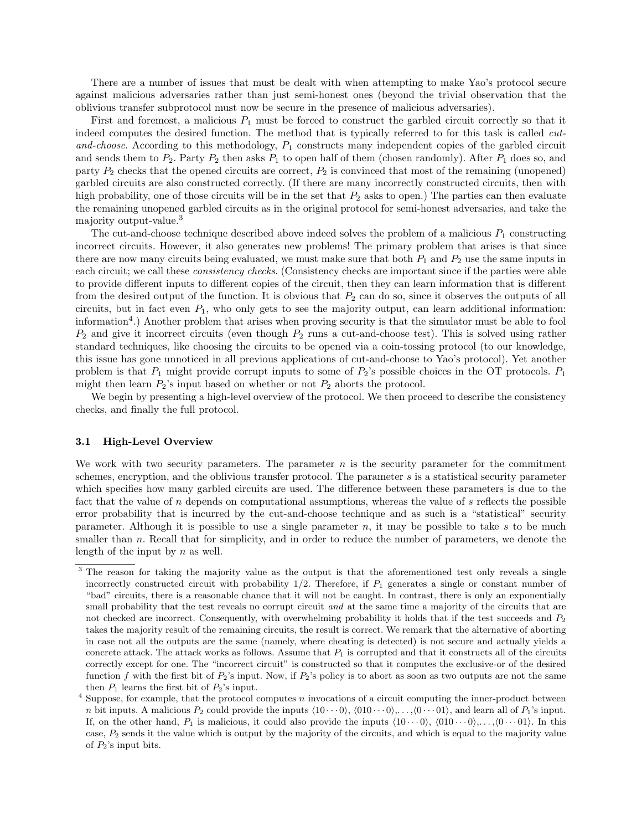There are a number of issues that must be dealt with when attempting to make Yao's protocol secure against malicious adversaries rather than just semi-honest ones (beyond the trivial observation that the oblivious transfer subprotocol must now be secure in the presence of malicious adversaries).

First and foremost, a malicious  $P_1$  must be forced to construct the garbled circuit correctly so that it indeed computes the desired function. The method that is typically referred to for this task is called cutand-choose. According to this methodology,  $P_1$  constructs many independent copies of the garbled circuit and sends them to  $P_2$ . Party  $P_2$  then asks  $P_1$  to open half of them (chosen randomly). After  $P_1$  does so, and party  $P_2$  checks that the opened circuits are correct,  $P_2$  is convinced that most of the remaining (unopened) garbled circuits are also constructed correctly. (If there are many incorrectly constructed circuits, then with high probability, one of those circuits will be in the set that  $P_2$  asks to open.) The parties can then evaluate the remaining unopened garbled circuits as in the original protocol for semi-honest adversaries, and take the majority output-value.<sup>3</sup>

The cut-and-choose technique described above indeed solves the problem of a malicious  $P_1$  constructing incorrect circuits. However, it also generates new problems! The primary problem that arises is that since there are now many circuits being evaluated, we must make sure that both  $P_1$  and  $P_2$  use the same inputs in each circuit; we call these *consistency checks*. (Consistency checks are important since if the parties were able to provide different inputs to different copies of the circuit, then they can learn information that is different from the desired output of the function. It is obvious that  $P_2$  can do so, since it observes the outputs of all circuits, but in fact even  $P_1$ , who only gets to see the majority output, can learn additional information: information<sup>4</sup> .) Another problem that arises when proving security is that the simulator must be able to fool  $P_2$  and give it incorrect circuits (even though  $P_2$  runs a cut-and-choose test). This is solved using rather standard techniques, like choosing the circuits to be opened via a coin-tossing protocol (to our knowledge, this issue has gone unnoticed in all previous applications of cut-and-choose to Yao's protocol). Yet another problem is that  $P_1$  might provide corrupt inputs to some of  $P_2$ 's possible choices in the OT protocols.  $P_1$ might then learn  $P_2$ 's input based on whether or not  $P_2$  aborts the protocol.

We begin by presenting a high-level overview of the protocol. We then proceed to describe the consistency checks, and finally the full protocol.

#### 3.1 High-Level Overview

We work with two security parameters. The parameter  $n$  is the security parameter for the commitment schemes, encryption, and the oblivious transfer protocol. The parameter s is a statistical security parameter which specifies how many garbled circuits are used. The difference between these parameters is due to the fact that the value of n depends on computational assumptions, whereas the value of s reflects the possible error probability that is incurred by the cut-and-choose technique and as such is a "statistical" security parameter. Although it is possible to use a single parameter n, it may be possible to take s to be much smaller than n. Recall that for simplicity, and in order to reduce the number of parameters, we denote the length of the input by  $n$  as well.

<sup>&</sup>lt;sup>3</sup> The reason for taking the majority value as the output is that the aforementioned test only reveals a single incorrectly constructed circuit with probability  $1/2$ . Therefore, if  $P_1$  generates a single or constant number of "bad" circuits, there is a reasonable chance that it will not be caught. In contrast, there is only an exponentially small probability that the test reveals no corrupt circuit and at the same time a majority of the circuits that are not checked are incorrect. Consequently, with overwhelming probability it holds that if the test succeeds and  $P_2$ takes the majority result of the remaining circuits, the result is correct. We remark that the alternative of aborting in case not all the outputs are the same (namely, where cheating is detected) is not secure and actually yields a concrete attack. The attack works as follows. Assume that  $P_1$  is corrupted and that it constructs all of the circuits correctly except for one. The "incorrect circuit" is constructed so that it computes the exclusive-or of the desired function f with the first bit of  $P_2$ 's input. Now, if  $P_2$ 's policy is to abort as soon as two outputs are not the same then  $P_1$  learns the first bit of  $P_2$ 's input.

 $4$  Suppose, for example, that the protocol computes n invocations of a circuit computing the inner-product between n bit inputs. A malicious  $P_2$  could provide the inputs  $\langle 10 \cdots 0 \rangle$ ,  $\langle 010 \cdots 0 \rangle$ ,  $\langle 0 \cdots 01 \rangle$ , and learn all of  $P_1$ 's input. If, on the other hand,  $P_1$  is malicious, it could also provide the inputs  $\langle 10 \cdots 0 \rangle$ ,  $\langle 010 \cdots 0 \rangle$ ,..., $\langle 0 \cdots 01 \rangle$ . In this case,  $P_2$  sends it the value which is output by the majority of the circuits, and which is equal to the majority value of  $P_2$ 's input bits.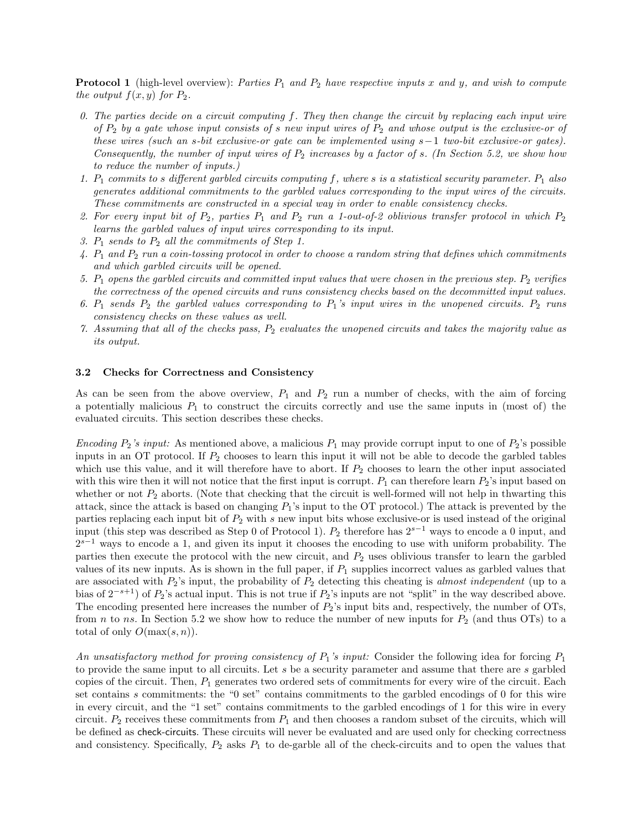**Protocol 1** (high-level overview): Parties  $P_1$  and  $P_2$  have respective inputs x and y, and wish to compute the output  $f(x, y)$  for  $P_2$ .

- 0. The parties decide on a circuit computing f. They then change the circuit by replacing each input wire of  $P_2$  by a gate whose input consists of s new input wires of  $P_2$  and whose output is the exclusive-or of these wires (such an s-bit exclusive-or gate can be implemented using s−1 two-bit exclusive-or gates). Consequently, the number of input wires of  $P_2$  increases by a factor of s. (In Section 5.2, we show how to reduce the number of inputs.)
- 1.  $P_1$  commits to s different garbled circuits computing f, where s is a statistical security parameter.  $P_1$  also generates additional commitments to the garbled values corresponding to the input wires of the circuits. These commitments are constructed in a special way in order to enable consistency checks.
- 2. For every input bit of  $P_2$ , parties  $P_1$  and  $P_2$  run a 1-out-of-2 oblivious transfer protocol in which  $P_2$ learns the garbled values of input wires corresponding to its input.
- 3.  $P_1$  sends to  $P_2$  all the commitments of Step 1.
- 4.  $P_1$  and  $P_2$  run a coin-tossing protocol in order to choose a random string that defines which commitments and which garbled circuits will be opened.
- 5.  $P_1$  opens the garbled circuits and committed input values that were chosen in the previous step.  $P_2$  verifies the correctness of the opened circuits and runs consistency checks based on the decommitted input values.
- 6.  $P_1$  sends  $P_2$  the garbled values corresponding to  $P_1$ 's input wires in the unopened circuits.  $P_2$  runs consistency checks on these values as well.
- 7. Assuming that all of the checks pass,  $P_2$  evaluates the unopened circuits and takes the majority value as its output.

#### 3.2 Checks for Correctness and Consistency

As can be seen from the above overview,  $P_1$  and  $P_2$  run a number of checks, with the aim of forcing a potentially malicious  $P_1$  to construct the circuits correctly and use the same inputs in (most of) the evaluated circuits. This section describes these checks.

Encoding  $P_2$ 's input: As mentioned above, a malicious  $P_1$  may provide corrupt input to one of  $P_2$ 's possible inputs in an OT protocol. If  $P_2$  chooses to learn this input it will not be able to decode the garbled tables which use this value, and it will therefore have to abort. If  $P_2$  chooses to learn the other input associated with this wire then it will not notice that the first input is corrupt.  $P_1$  can therefore learn  $P_2$ 's input based on whether or not  $P_2$  aborts. (Note that checking that the circuit is well-formed will not help in thwarting this attack, since the attack is based on changing  $P_1$ 's input to the OT protocol.) The attack is prevented by the parties replacing each input bit of  $P_2$  with s new input bits whose exclusive-or is used instead of the original input (this step was described as Step 0 of Protocol 1).  $P_2$  therefore has  $2^{s-1}$  ways to encode a 0 input, and  $2^{s-1}$  ways to encode a 1, and given its input it chooses the encoding to use with uniform probability. The parties then execute the protocol with the new circuit, and  $P_2$  uses oblivious transfer to learn the garbled values of its new inputs. As is shown in the full paper, if  $P_1$  supplies incorrect values as garbled values that are associated with  $P_2$ 's input, the probability of  $P_2$  detecting this cheating is almost independent (up to a bias of  $2^{-s+1}$ ) of  $P_2$ 's actual input. This is not true if  $P_2$ 's inputs are not "split" in the way described above. The encoding presented here increases the number of  $P_2$ 's input bits and, respectively, the number of OTs, from *n* to *ns*. In Section 5.2 we show how to reduce the number of new inputs for  $P_2$  (and thus OTs) to a total of only  $O(\max(s, n))$ .

An unsatisfactory method for proving consistency of  $P_1$ 's input: Consider the following idea for forcing  $P_1$ to provide the same input to all circuits. Let s be a security parameter and assume that there are s garbled copies of the circuit. Then,  $P_1$  generates two ordered sets of commitments for every wire of the circuit. Each set contains s commitments: the "0 set" contains commitments to the garbled encodings of 0 for this wire in every circuit, and the "1 set" contains commitments to the garbled encodings of 1 for this wire in every circuit.  $P_2$  receives these commitments from  $P_1$  and then chooses a random subset of the circuits, which will be defined as check-circuits. These circuits will never be evaluated and are used only for checking correctness and consistency. Specifically,  $P_2$  asks  $P_1$  to de-garble all of the check-circuits and to open the values that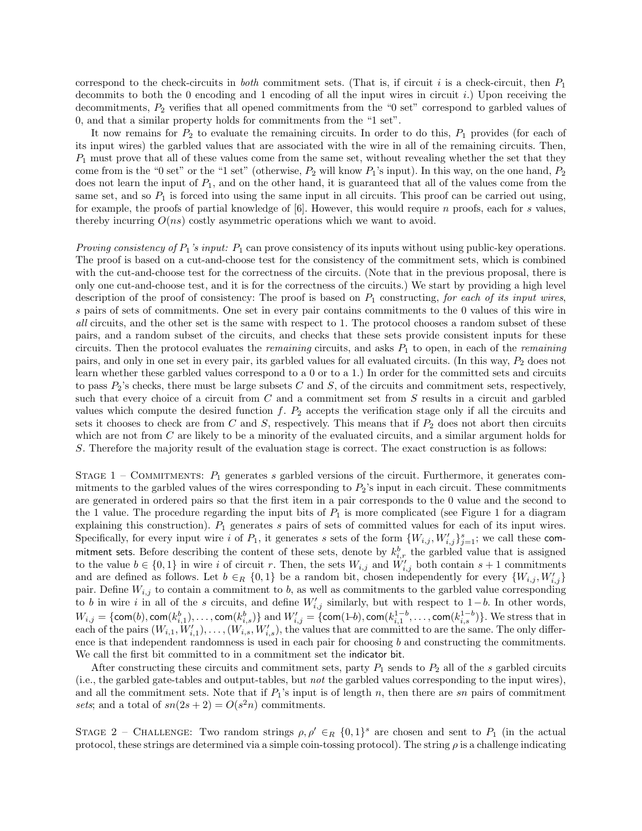correspond to the check-circuits in *both* commitment sets. (That is, if circuit i is a check-circuit, then  $P_1$ decommits to both the 0 encoding and 1 encoding of all the input wires in circuit  $i$ .) Upon receiving the decommitments,  $P_2$  verifies that all opened commitments from the "0 set" correspond to garbled values of 0, and that a similar property holds for commitments from the "1 set".

It now remains for  $P_2$  to evaluate the remaining circuits. In order to do this,  $P_1$  provides (for each of its input wires) the garbled values that are associated with the wire in all of the remaining circuits. Then,  $P_1$  must prove that all of these values come from the same set, without revealing whether the set that they come from is the "0 set" or the "1 set" (otherwise,  $P_2$  will know  $P_1$ 's input). In this way, on the one hand,  $P_2$ does not learn the input of  $P_1$ , and on the other hand, it is guaranteed that all of the values come from the same set, and so  $P_1$  is forced into using the same input in all circuits. This proof can be carried out using, for example, the proofs of partial knowledge of  $[6]$ . However, this would require n proofs, each for s values, thereby incurring  $O(ns)$  costly asymmetric operations which we want to avoid.

Proving consistency of  $P_1$ 's input:  $P_1$  can prove consistency of its inputs without using public-key operations. The proof is based on a cut-and-choose test for the consistency of the commitment sets, which is combined with the cut-and-choose test for the correctness of the circuits. (Note that in the previous proposal, there is only one cut-and-choose test, and it is for the correctness of the circuits.) We start by providing a high level description of the proof of consistency: The proof is based on  $P_1$  constructing, for each of its input wires, s pairs of sets of commitments. One set in every pair contains commitments to the 0 values of this wire in all circuits, and the other set is the same with respect to 1. The protocol chooses a random subset of these pairs, and a random subset of the circuits, and checks that these sets provide consistent inputs for these circuits. Then the protocol evaluates the *remaining* circuits, and asks  $P_1$  to open, in each of the *remaining* pairs, and only in one set in every pair, its garbled values for all evaluated circuits. (In this way,  $P_2$  does not learn whether these garbled values correspond to a 0 or to a 1.) In order for the committed sets and circuits to pass  $P_2$ 's checks, there must be large subsets C and S, of the circuits and commitment sets, respectively, such that every choice of a circuit from C and a commitment set from S results in a circuit and garbled values which compute the desired function  $f$ .  $P_2$  accepts the verification stage only if all the circuits and sets it chooses to check are from C and S, respectively. This means that if  $P_2$  does not abort then circuits which are not from C are likely to be a minority of the evaluated circuits, and a similar argument holds for S. Therefore the majority result of the evaluation stage is correct. The exact construction is as follows:

STAGE 1 – COMMITMENTS:  $P_1$  generates s garbled versions of the circuit. Furthermore, it generates commitments to the garbled values of the wires corresponding to  $P_2$ 's input in each circuit. These commitments are generated in ordered pairs so that the first item in a pair corresponds to the 0 value and the second to the 1 value. The procedure regarding the input bits of  $P_1$  is more complicated (see Figure 1 for a diagram explaining this construction).  $P_1$  generates s pairs of sets of committed values for each of its input wires. Specifically, for every input wire i of  $P_1$ , it generates s sets of the form  $\{W_{i,j}, W'_{i,j}\}_{j=1}^s$ ; we call these commitment sets. Before describing the content of these sets, denote by  $k_{i,r}^b$  the garbled value that is assigned to the value  $b \in \{0,1\}$  in wire i of circuit r. Then, the sets  $W_{i,j}$  and  $W'_{i,j}$  both contain  $s+1$  commitments and are defined as follows. Let  $b \in_R \{0,1\}$  be a random bit, chosen independently for every  $\{W_{i,j}, W'_{i,j}\}$ pair. Define  $W_{i,j}$  to contain a commitment to b, as well as commitments to the garbled value corresponding to b in wire i in all of the s circuits, and define  $W'_{i,j}$  similarly, but with respect to 1–b. In other words,  $W_{i,j} = \{\mathsf{com}(b), \mathsf{com}(k_{i,1}^b), \ldots, \mathsf{com}(k_{i,s}^b)\}$  and  $W'_{i,j} = \{\mathsf{com}(1-b), \mathsf{com}(k_{i,1}^{1-b}, \ldots, \mathsf{com}(k_{i,s}^{1-b})\}.$  We stress that in each of the pairs  $(W_{i,1}, W'_{i,1}), \ldots, (W_{i,s}, W'_{i,s})$ , the values that are committed to are the same. The only difference is that independent randomness is used in each pair for choosing  $b$  and constructing the commitments. We call the first bit committed to in a commitment set the indicator bit.

After constructing these circuits and commitment sets, party  $P_1$  sends to  $P_2$  all of the s garbled circuits (i.e., the garbled gate-tables and output-tables, but not the garbled values corresponding to the input wires), and all the commitment sets. Note that if  $P_1$ 's input is of length n, then there are sn pairs of commitment sets; and a total of  $sn(2s+2) = O(s^2n)$  commitments.

STAGE 2 – CHALLENGE: Two random strings  $\rho, \rho' \in_R \{0,1\}^s$  are chosen and sent to  $P_1$  (in the actual protocol, these strings are determined via a simple coin-tossing protocol). The string  $\rho$  is a challenge indicating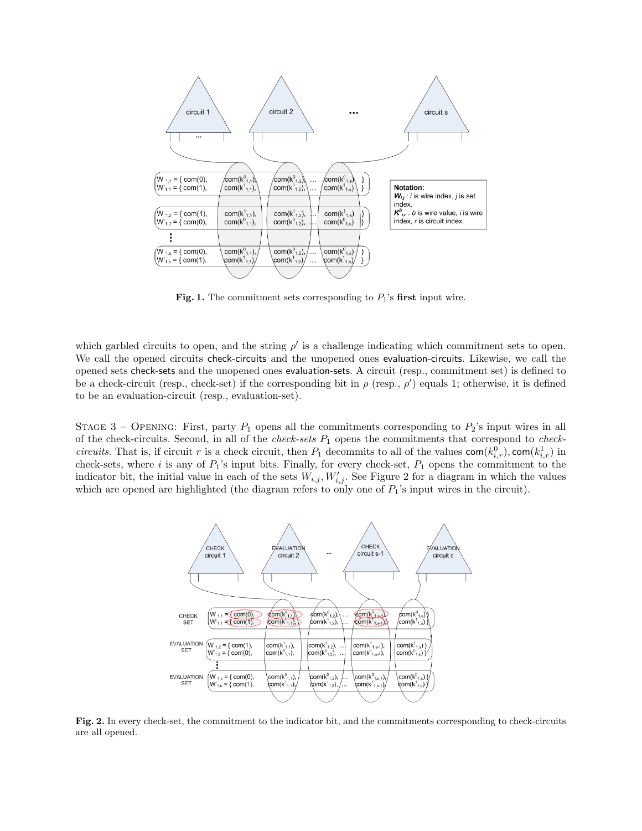

Fig. 1. The commitment sets corresponding to  $P_1$ 's first input wire.

which garbled circuits to open, and the string  $\rho'$  is a challenge indicating which commitment sets to open. We call the opened circuits check-circuits and the unopened ones evaluation-circuits. Likewise, we call the opened sets check-sets and the unopened ones evaluation-sets. A circuit (resp., commitment set) is defined to be a check-circuit (resp., check-set) if the corresponding bit in  $\rho$  (resp.,  $\rho'$ ) equals 1; otherwise, it is defined to be an evaluation-circuit (resp., evaluation-set).

STAGE 3 – OPENING: First, party  $P_1$  opens all the commitments corresponding to  $P_2$ 's input wires in all of the check-circuits. Second, in all of the *check-sets*  $P_1$  opens the commitments that correspond to *check*circuits. That is, if circuit r is a check circuit, then  $P_1$  decommits to all of the values  $com(k_{i,r}^0)$ ,  $com(k_{i,r}^1)$  in check-sets, where i is any of  $P_1$ 's input bits. Finally, for every check-set,  $P_1$  opens the commitment to the indicator bit, the initial value in each of the sets  $W_{i,j}$ ,  $W'_{i,j}$ . See Figure 2 for a diagram in which the values which are opened are highlighted (the diagram refers to only one of  $P_1$ 's input wires in the circuit).



Fig. 2. In every check-set, the commitment to the indicator bit, and the commitments corresponding to check-circuits are all opened.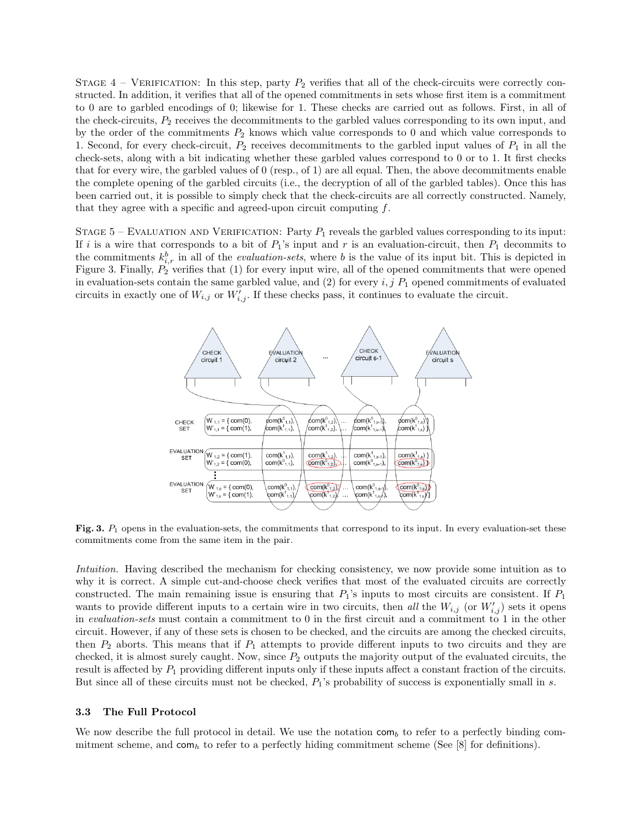STAGE  $4$  – VERIFICATION: In this step, party  $P_2$  verifies that all of the check-circuits were correctly constructed. In addition, it verifies that all of the opened commitments in sets whose first item is a commitment to 0 are to garbled encodings of 0; likewise for 1. These checks are carried out as follows. First, in all of the check-circuits,  $P_2$  receives the decommitments to the garbled values corresponding to its own input, and by the order of the commitments  $P_2$  knows which value corresponds to 0 and which value corresponds to 1. Second, for every check-circuit,  $P_2$  receives decommitments to the garbled input values of  $P_1$  in all the check-sets, along with a bit indicating whether these garbled values correspond to 0 or to 1. It first checks that for every wire, the garbled values of 0 (resp., of 1) are all equal. Then, the above decommitments enable the complete opening of the garbled circuits (i.e., the decryption of all of the garbled tables). Once this has been carried out, it is possible to simply check that the check-circuits are all correctly constructed. Namely, that they agree with a specific and agreed-upon circuit computing  $f$ .

STAGE  $5$  – EVALUATION AND VERIFICATION: Party  $P_1$  reveals the garbled values corresponding to its input: If i is a wire that corresponds to a bit of  $P_1$ 's input and r is an evaluation-circuit, then  $P_1$  decommits to the commitments  $k_{i,r}^b$  in all of the *evaluation-sets*, where b is the value of its input bit. This is depicted in Figure 3. Finally,  $P_2$  verifies that (1) for every input wire, all of the opened commitments that were opened in evaluation-sets contain the same garbled value, and  $(2)$  for every  $i, j$   $P_1$  opened commitments of evaluated circuits in exactly one of  $W_{i,j}$  or  $W'_{i,j}$ . If these checks pass, it continues to evaluate the circuit.



Fig. 3.  $P_1$  opens in the evaluation-sets, the commitments that correspond to its input. In every evaluation-set these commitments come from the same item in the pair.

Intuition. Having described the mechanism for checking consistency, we now provide some intuition as to why it is correct. A simple cut-and-choose check verifies that most of the evaluated circuits are correctly constructed. The main remaining issue is ensuring that  $P_1$ 's inputs to most circuits are consistent. If  $P_1$ wants to provide different inputs to a certain wire in two circuits, then all the  $W_{i,j}$  (or  $W'_{i,j}$ ) sets it opens in evaluation-sets must contain a commitment to 0 in the first circuit and a commitment to 1 in the other circuit. However, if any of these sets is chosen to be checked, and the circuits are among the checked circuits, then  $P_2$  aborts. This means that if  $P_1$  attempts to provide different inputs to two circuits and they are checked, it is almost surely caught. Now, since  $P_2$  outputs the majority output of the evaluated circuits, the result is affected by  $P_1$  providing different inputs only if these inputs affect a constant fraction of the circuits. But since all of these circuits must not be checked,  $P_1$ 's probability of success is exponentially small in s.

#### 3.3 The Full Protocol

We now describe the full protocol in detail. We use the notation  $com_b$  to refer to a perfectly binding commitment scheme, and  $\text{com}_h$  to refer to a perfectly hiding commitment scheme (See [8] for definitions).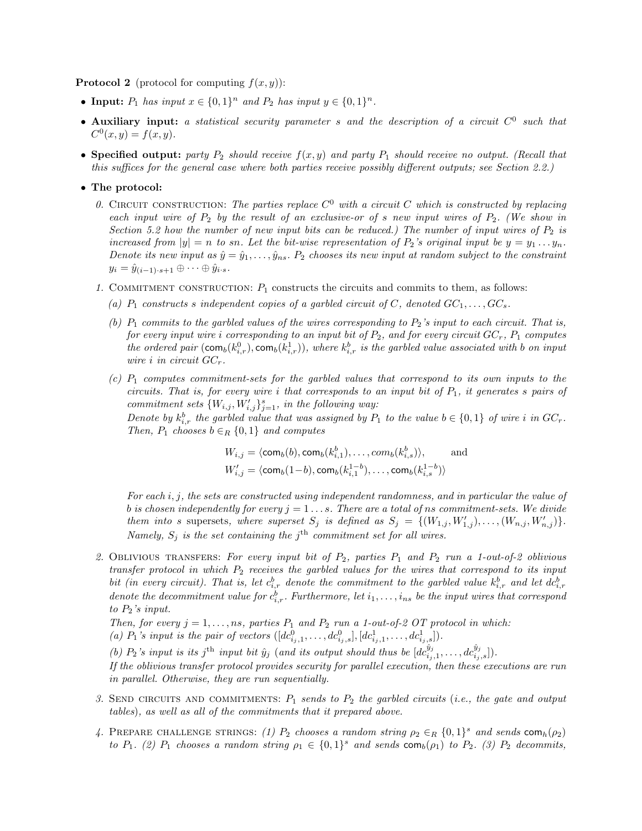**Protocol 2** (protocol for computing  $f(x, y)$ ):

- Input:  $P_1$  has input  $x \in \{0,1\}^n$  and  $P_2$  has input  $y \in \{0,1\}^n$ .
- Auxiliary input: a statistical security parameter s and the description of a circuit  $C^0$  such that  $C^{0}(x, y) = f(x, y).$
- Specified output: party  $P_2$  should receive  $f(x, y)$  and party  $P_1$  should receive no output. (Recall that this suffices for the general case where both parties receive possibly different outputs; see Section 2.2.)

• The protocol:

- 0. CIRCUIT CONSTRUCTION: The parties replace  $C^0$  with a circuit C which is constructed by replacing each input wire of  $P_2$  by the result of an exclusive-or of s new input wires of  $P_2$ . (We show in Section 5.2 how the number of new input bits can be reduced.) The number of input wires of  $P_2$  is increased from  $|y| = n$  to sn. Let the bit-wise representation of  $P_2$ 's original input be  $y = y_1 \ldots y_n$ . Denote its new input as  $\hat{y} = \hat{y}_1, \ldots, \hat{y}_{ns}$ .  $P_2$  chooses its new input at random subject to the constraint  $y_i = \hat{y}_{(i-1)\cdot s+1} \oplus \cdots \oplus \hat{y}_{i\cdot s}.$
- 1. COMMITMENT CONSTRUCTION:  $P_1$  constructs the circuits and commits to them, as follows:
	- (a)  $P_1$  constructs s independent copies of a garbled circuit of C, denoted  $GC_1, \ldots, GC_s$ .
	- (b)  $P_1$  commits to the garbled values of the wires corresponding to  $P_2$ 's input to each circuit. That is, for every input wire i corresponding to an input bit of  $P_2$ , and for every circuit  $GC_r$ ,  $P_1$  computes the ordered pair  $(\textsf{com}_b(k_{i,r}^0), \textsf{com}_b(k_{i,r}^1))$ , where  $k_{i,r}^b$  is the garbled value associated with b on input wire i in circuit  $GC_r$ .
	- $(c)$  P<sub>1</sub> computes commitment-sets for the garbled values that correspond to its own inputs to the circuits. That is, for every wire i that corresponds to an input bit of  $P_1$ , it generates s pairs of commitment sets  $\{W_{i,j}, W'_{i,j}\}_{j=1}^s$ , in the following way: Denote by  $k_{i,r}^b$  the garbled value that was assigned by  $P_1$  to the value  $b \in \{0,1\}$  of wire i in  $GC_r$ . Then,  $P_1$  chooses  $b \in_R \{0,1\}$  and computes

$$
W_{i,j} = \langle \mathsf{com}_b(b), \mathsf{com}_b(k_{i,1}^b), \dots, \mathsf{com}_b(k_{i,s}^b) \rangle, \quad \text{and}
$$
  

$$
W'_{i,j} = \langle \mathsf{com}_b(1-b), \mathsf{com}_b(k_{i,1}^{1-b}), \dots, \mathsf{com}_b(k_{i,s}^{1-b}) \rangle
$$

For each  $i, j$ , the sets are constructed using independent randomness, and in particular the value of b is chosen independently for every  $j = 1...s$ . There are a total of ns commitment-sets. We divide them into s supersets, where superset  $S_j$  is defined as  $S_j = \{(W_{1,j}, W'_{1,j}), \ldots, (W_{n,j}, W'_{n,j})\}.$ Namely,  $S_j$  is the set containing the j<sup>th</sup> commitment set for all wires.

2. OBLIVIOUS TRANSFERS: For every input bit of  $P_2$ , parties  $P_1$  and  $P_2$  run a 1-out-of-2 oblivious transfer protocol in which  $P_2$  receives the garbled values for the wires that correspond to its input bit (in every circuit). That is, let  $c_{i,r}^b$  denote the commitment to the garbled value  $k_{i,r}^b$  and let  $dc_{i,r}^b$ denote the decommitment value for  $c_{i,r}^b$ . Furthermore, let  $i_1, \ldots, i_{ns}$  be the input wires that correspond to  $P_2$ 's input.

Then, for every  $j = 1, \ldots, ns$ , parties  $P_1$  and  $P_2$  run a 1-out-of-2 OT protocol in which:

(a)  $P_1$ 's input is the pair of vectors  $([dc^0_{i,j,1},...,dc^0_{i,j,s}],[dc^1_{i,j,1},...,dc^1_{i,j,s}]).$ 

(b)  $P_2$ 's input is its j<sup>th</sup> input bit  $\hat{y}_j$  (and its output should thus be  $[dc_{i_j,1}^{\hat{y}_j}, \ldots, d c_{i_j,s}^{\hat{y}_j}])$ .

If the oblivious transfer protocol provides security for parallel execution, then these executions are run in parallel. Otherwise, they are run sequentially.

- 3. SEND CIRCUITS AND COMMITMENTS:  $P_1$  sends to  $P_2$  the garbled circuits (i.e., the gate and output tables), as well as all of the commitments that it prepared above.
- 4. PREPARE CHALLENGE STRINGS: (1)  $P_2$  chooses a random string  $\rho_2 \in_R \{0,1\}^s$  and sends  $\text{com}_h(\rho_2)$ to  $P_1$ . (2)  $P_1$  chooses a random string  $\rho_1 \in \{0,1\}^s$  and sends  $\text{com}_b(\rho_1)$  to  $P_2$ . (3)  $P_2$  decommits,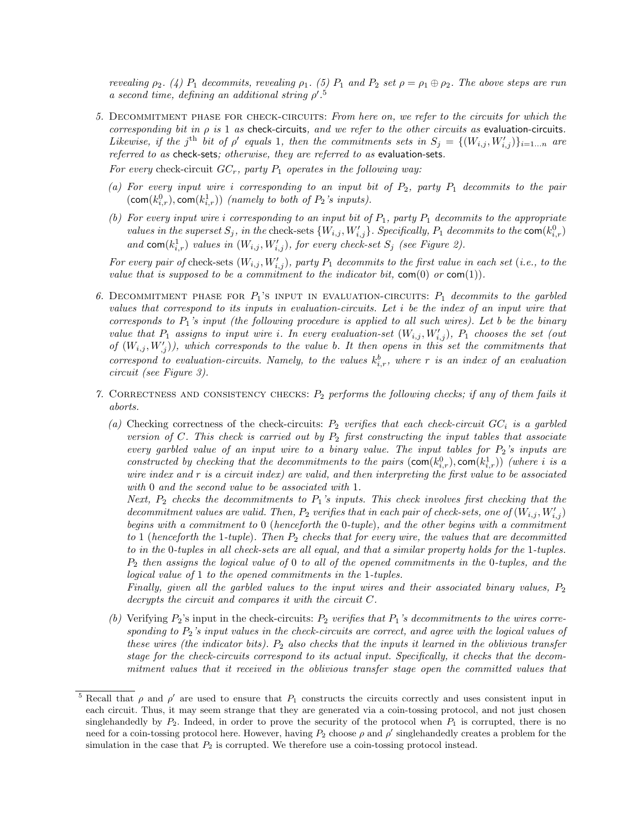revealing  $\rho_2$ . (4)  $P_1$  decommits, revealing  $\rho_1$ . (5)  $P_1$  and  $P_2$  set  $\rho = \rho_1 \oplus \rho_2$ . The above steps are run a second time, defining an additional string  $\rho'$ .<sup>5</sup>

- 5. DECOMMITMENT PHASE FOR CHECK-CIRCUITS: From here on, we refer to the circuits for which the corresponding bit in  $\rho$  is 1 as check-circuits, and we refer to the other circuits as evaluation-circuits. Likewise, if the j<sup>th</sup> bit of  $\rho'$  equals 1, then the commitments sets in  $S_j = \{(W_{i,j}, W'_{i,j})\}_{i=1...n}$  are referred to as check-sets; otherwise, they are referred to as evaluation-sets. For every check-circuit  $GC_r$ , party  $P_1$  operates in the following way:
	- (a) For every input wire i corresponding to an input bit of  $P_2$ , party  $P_1$  decommits to the pair  $(\text{com}(k_{i,r}^0), \text{com}(k_{i,r}^1))$  (namely to both of  $P_2$ 's inputs).
	- (b) For every input wire i corresponding to an input bit of  $P_1$ , party  $P_1$  decommits to the appropriate values in the superset  $S_j$ , in the check-sets  $\{W_{i,j}, W'_{i,j}\}$ . Specifically,  $P_1$  decommits to the  $com(k_{i,r}^0)$ and com $(k_{i,r}^1)$  values in  $(W_{i,j}, W'_{i,j})$ , for every check-set  $S_j$  (see Figure 2).

For every pair of check-sets  $(W_{i,j}, W'_{i,j})$ , party  $P_1$  decommits to the first value in each set (i.e., to the value that is supposed to be a commitment to the indicator bit,  $com(0)$  or  $com(1)$ .

- 6. DECOMMITMENT PHASE FOR  $P_1$ 's INPUT IN EVALUATION-CIRCUITS:  $P_1$  decommits to the garbled values that correspond to its inputs in evaluation-circuits. Let i be the index of an input wire that corresponds to  $P_1$ 's input (the following procedure is applied to all such wires). Let b be the binary value that  $P_1$  assigns to input wire i. In every evaluation-set  $(W_{i,j}, W'_{i,j})$ ,  $P_1$  chooses the set (out of  $(W_{i,j}, W'_{,j})$ , which corresponds to the value b. It then opens in this set the commitments that correspond to evaluation-circuits. Namely, to the values  $k_{i,r}^b$ , where r is an index of an evaluation circuit (see Figure 3).
- 7. CORRECTNESS AND CONSISTENCY CHECKS:  $P_2$  performs the following checks; if any of them fails it aborts.
	- (a) Checking correctness of the check-circuits:  $P_2$  verifies that each check-circuit  $GC_i$  is a garbled version of C. This check is carried out by  $P_2$  first constructing the input tables that associate every garbled value of an input wire to a binary value. The input tables for  $P_2$ 's inputs are constructed by checking that the decommitments to the pairs  $(\text{com}(k_{i,r}^0), \text{com}(k_{i,r}^1))$  (where i is a wire index and r is a circuit index) are valid, and then interpreting the first value to be associated with 0 and the second value to be associated with 1.

Next,  $P_2$  checks the decommitments to  $P_1$ 's inputs. This check involves first checking that the decommitment values are valid. Then,  $P_2$  verifies that in each pair of check-sets, one of  $(W_{i,j}, W'_{i,j})$ begins with a commitment to 0 (henceforth the 0-tuple), and the other begins with a commitment to 1 (henceforth the 1-tuple). Then  $P_2$  checks that for every wire, the values that are decommitted to in the 0-tuples in all check-sets are all equal, and that a similar property holds for the 1-tuples.  $P_2$  then assigns the logical value of 0 to all of the opened commitments in the 0-tuples, and the logical value of 1 to the opened commitments in the 1-tuples.

Finally, given all the garbled values to the input wires and their associated binary values,  $P_2$ decrypts the circuit and compares it with the circuit C.

(b) Verifying  $P_2$ 's input in the check-circuits:  $P_2$  verifies that  $P_1$ 's decommitments to the wires corresponding to  $P_2$ 's input values in the check-circuits are correct, and agree with the logical values of these wires (the indicator bits).  $P_2$  also checks that the inputs it learned in the oblivious transfer stage for the check-circuits correspond to its actual input. Specifically, it checks that the decommitment values that it received in the oblivious transfer stage open the committed values that

<sup>&</sup>lt;sup>5</sup> Recall that  $\rho$  and  $\rho'$  are used to ensure that  $P_1$  constructs the circuits correctly and uses consistent input in each circuit. Thus, it may seem strange that they are generated via a coin-tossing protocol, and not just chosen singlehandedly by  $P_2$ . Indeed, in order to prove the security of the protocol when  $P_1$  is corrupted, there is no need for a coin-tossing protocol here. However, having  $P_2$  choose  $\rho$  and  $\rho'$  singlehandedly creates a problem for the simulation in the case that  $P_2$  is corrupted. We therefore use a coin-tossing protocol instead.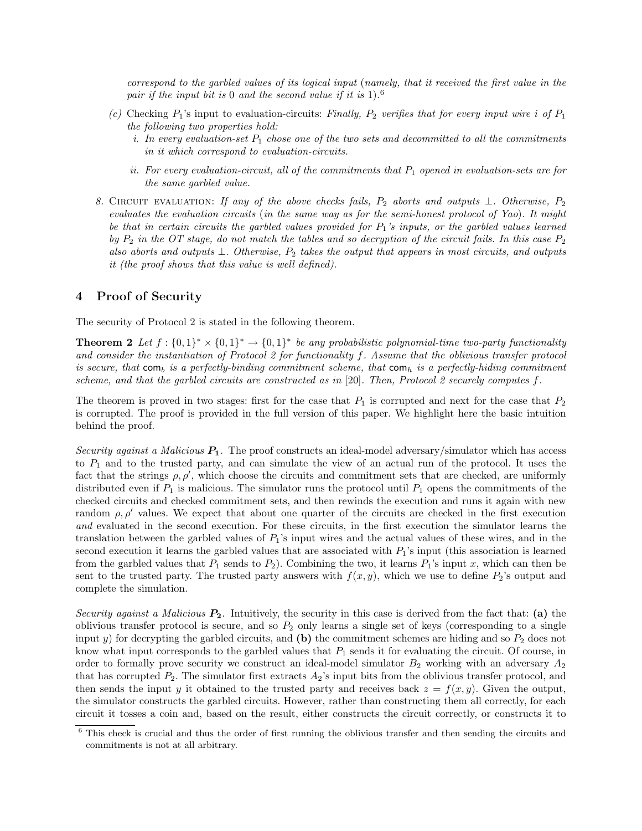correspond to the garbled values of its logical input (namely, that it received the first value in the pair if the input bit is 0 and the second value if it is  $1$ .<sup>6</sup>

- (c) Checking  $P_1$ 's input to evaluation-circuits: Finally,  $P_2$  verifies that for every input wire i of  $P_1$ the following two properties hold:
	- i. In every evaluation-set  $P_1$  chose one of the two sets and decommitted to all the commitments in it which correspond to evaluation-circuits.
	- ii. For every evaluation-circuit, all of the commitments that  $P_1$  opened in evaluation-sets are for the same garbled value.
- 8. CIRCUIT EVALUATION: If any of the above checks fails,  $P_2$  aborts and outputs  $\perp$ . Otherwise,  $P_2$ evaluates the evaluation circuits (in the same way as for the semi-honest protocol of Yao). It might be that in certain circuits the garbled values provided for  $P_1$ 's inputs, or the garbled values learned by  $P_2$  in the OT stage, do not match the tables and so decryption of the circuit fails. In this case  $P_2$ also aborts and outputs  $\perp$ . Otherwise,  $P_2$  takes the output that appears in most circuits, and outputs it (the proof shows that this value is well defined).

# 4 Proof of Security

The security of Protocol 2 is stated in the following theorem.

**Theorem 2** Let  $f: \{0,1\}^* \times \{0,1\}^* \rightarrow \{0,1\}^*$  be any probabilistic polynomial-time two-party functionality and consider the instantiation of Protocol 2 for functionality f. Assume that the oblivious transfer protocol is secure, that com<sub>b</sub> is a perfectly-binding commitment scheme, that com<sub>h</sub> is a perfectly-hiding commitment scheme, and that the garbled circuits are constructed as in [20]. Then, Protocol 2 securely computes  $f$ .

The theorem is proved in two stages: first for the case that  $P_1$  is corrupted and next for the case that  $P_2$ is corrupted. The proof is provided in the full version of this paper. We highlight here the basic intuition behind the proof.

Security against a Malicious  $P_1$ . The proof constructs an ideal-model adversary/simulator which has access to  $P_1$  and to the trusted party, and can simulate the view of an actual run of the protocol. It uses the fact that the strings  $\rho, \rho'$ , which choose the circuits and commitment sets that are checked, are uniformly distributed even if  $P_1$  is malicious. The simulator runs the protocol until  $P_1$  opens the commitments of the checked circuits and checked commitment sets, and then rewinds the execution and runs it again with new random  $\rho$ ,  $\rho'$  values. We expect that about one quarter of the circuits are checked in the first execution and evaluated in the second execution. For these circuits, in the first execution the simulator learns the translation between the garbled values of  $P_1$ 's input wires and the actual values of these wires, and in the second execution it learns the garbled values that are associated with  $P_1$ 's input (this association is learned from the garbled values that  $P_1$  sends to  $P_2$ ). Combining the two, it learns  $P_1$ 's input x, which can then be sent to the trusted party. The trusted party answers with  $f(x, y)$ , which we use to define  $P_2$ 's output and complete the simulation.

Security against a Malicious  $P_2$ . Intuitively, the security in this case is derived from the fact that: (a) the oblivious transfer protocol is secure, and so  $P_2$  only learns a single set of keys (corresponding to a single input y) for decrypting the garbled circuits, and (b) the commitment schemes are hiding and so  $P_2$  does not know what input corresponds to the garbled values that  $P_1$  sends it for evaluating the circuit. Of course, in order to formally prove security we construct an ideal-model simulator  $B_2$  working with an adversary  $A_2$ that has corrupted  $P_2$ . The simulator first extracts  $A_2$ 's input bits from the oblivious transfer protocol, and then sends the input y it obtained to the trusted party and receives back  $z = f(x, y)$ . Given the output, the simulator constructs the garbled circuits. However, rather than constructing them all correctly, for each circuit it tosses a coin and, based on the result, either constructs the circuit correctly, or constructs it to

<sup>6</sup> This check is crucial and thus the order of first running the oblivious transfer and then sending the circuits and commitments is not at all arbitrary.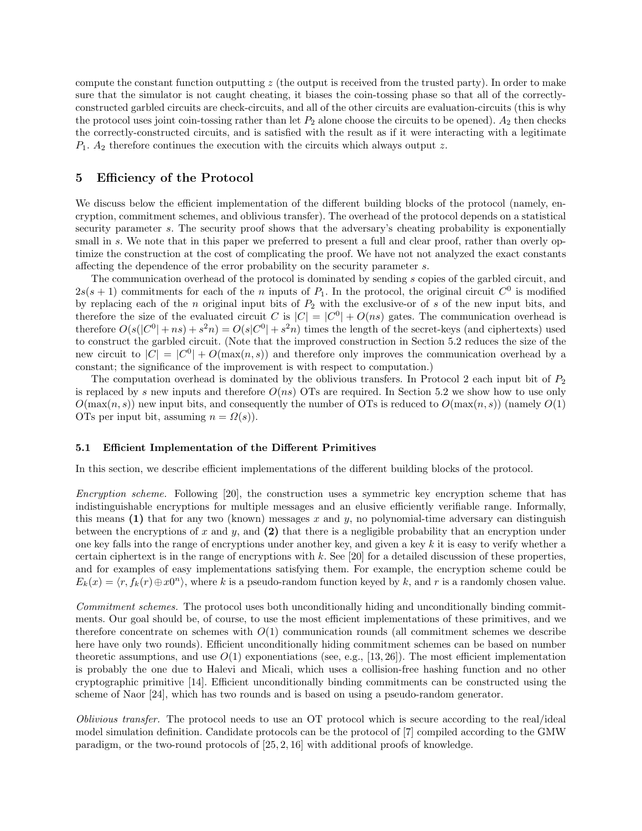compute the constant function outputting  $z$  (the output is received from the trusted party). In order to make sure that the simulator is not caught cheating, it biases the coin-tossing phase so that all of the correctlyconstructed garbled circuits are check-circuits, and all of the other circuits are evaluation-circuits (this is why the protocol uses joint coin-tossing rather than let  $P_2$  alone choose the circuits to be opened).  $A_2$  then checks the correctly-constructed circuits, and is satisfied with the result as if it were interacting with a legitimate  $P_1$ .  $A_2$  therefore continues the execution with the circuits which always output z.

# 5 Efficiency of the Protocol

We discuss below the efficient implementation of the different building blocks of the protocol (namely, encryption, commitment schemes, and oblivious transfer). The overhead of the protocol depends on a statistical security parameter s. The security proof shows that the adversary's cheating probability is exponentially small in s. We note that in this paper we preferred to present a full and clear proof, rather than overly optimize the construction at the cost of complicating the proof. We have not not analyzed the exact constants affecting the dependence of the error probability on the security parameter s.

The communication overhead of the protocol is dominated by sending s copies of the garbled circuit, and  $2s(s + 1)$  commitments for each of the *n* inputs of  $P_1$ . In the protocol, the original circuit  $C^0$  is modified by replacing each of the n original input bits of  $P_2$  with the exclusive-or of s of the new input bits, and therefore the size of the evaluated circuit C is  $|C| = |C^0| + O(ns)$  gates. The communication overhead is therefore  $O(s(|C^0|+ns)+s^2n)=O(s|C^0|+s^2n)$  times the length of the secret-keys (and ciphertexts) used to construct the garbled circuit. (Note that the improved construction in Section 5.2 reduces the size of the new circuit to  $|C| = |C^0| + O(\max(n, s))$  and therefore only improves the communication overhead by a constant; the significance of the improvement is with respect to computation.)

The computation overhead is dominated by the oblivious transfers. In Protocol 2 each input bit of  $P_2$ is replaced by s new inputs and therefore  $O(ns)$  OTs are required. In Section 5.2 we show how to use only  $O(\max(n, s))$  new input bits, and consequently the number of OTs is reduced to  $O(\max(n, s))$  (namely  $O(1)$ ) OTs per input bit, assuming  $n = \Omega(s)$ .

#### 5.1 Efficient Implementation of the Different Primitives

In this section, we describe efficient implementations of the different building blocks of the protocol.

Encryption scheme. Following [20], the construction uses a symmetric key encryption scheme that has indistinguishable encryptions for multiple messages and an elusive efficiently verifiable range. Informally, this means  $(1)$  that for any two (known) messages x and y, no polynomial-time adversary can distinguish between the encryptions of x and y, and  $(2)$  that there is a negligible probability that an encryption under one key falls into the range of encryptions under another key, and given a key k it is easy to verify whether a certain ciphertext is in the range of encryptions with  $k$ . See [20] for a detailed discussion of these properties, and for examples of easy implementations satisfying them. For example, the encryption scheme could be  $E_k(x) = \langle r, f_k(r) \oplus x_0^n \rangle$ , where k is a pseudo-random function keyed by k, and r is a randomly chosen value.

Commitment schemes. The protocol uses both unconditionally hiding and unconditionally binding commitments. Our goal should be, of course, to use the most efficient implementations of these primitives, and we therefore concentrate on schemes with  $O(1)$  communication rounds (all commitment schemes we describe here have only two rounds). Efficient unconditionally hiding commitment schemes can be based on number theoretic assumptions, and use  $O(1)$  exponentiations (see, e.g., [13, 26]). The most efficient implementation is probably the one due to Halevi and Micali, which uses a collision-free hashing function and no other cryptographic primitive [14]. Efficient unconditionally binding commitments can be constructed using the scheme of Naor [24], which has two rounds and is based on using a pseudo-random generator.

Oblivious transfer. The protocol needs to use an OT protocol which is secure according to the real/ideal model simulation definition. Candidate protocols can be the protocol of [7] compiled according to the GMW paradigm, or the two-round protocols of [25, 2, 16] with additional proofs of knowledge.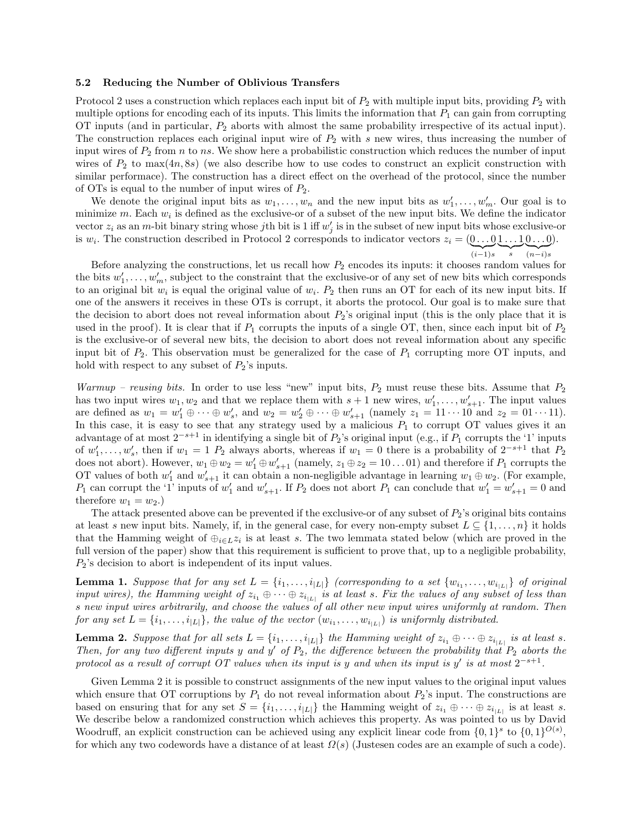#### 5.2 Reducing the Number of Oblivious Transfers

Protocol 2 uses a construction which replaces each input bit of  $P_2$  with multiple input bits, providing  $P_2$  with multiple options for encoding each of its inputs. This limits the information that  $P_1$  can gain from corrupting OT inputs (and in particular,  $P_2$  aborts with almost the same probability irrespective of its actual input). The construction replaces each original input wire of  $P_2$  with s new wires, thus increasing the number of input wires of  $P_2$  from n to ns. We show here a probabilistic construction which reduces the number of input wires of  $P_2$  to max $(4n, 8s)$  (we also describe how to use codes to construct an explicit construction with similar performace). The construction has a direct effect on the overhead of the protocol, since the number of OTs is equal to the number of input wires of  $P_2$ .

We denote the original input bits as  $w_1, \ldots, w_n$  and the new input bits as  $w'_1, \ldots, w'_m$ . Our goal is to minimize m. Each  $w_i$  is defined as the exclusive-or of a subset of the new input bits. We define the indicator vector  $z_i$  as an m-bit binary string whose jth bit is 1 iff  $w'_j$  is in the subset of new input bits whose exclusive-or is  $w_i$ . The construction described in Protocol 2 corresponds to indicator vectors  $z_i = (0 \dots 0, 1 \dots 1, 0 \dots 0)$ .  $(i-1)s$   $s$   $(n-i)s$ 

Before analyzing the constructions, let us recall how  $P_2$  encodes its inputs: it chooses random values for the bits  $w'_1, \ldots, w'_m$ , subject to the constraint that the exclusive-or of any set of new bits which corresponds to an original bit  $w_i$  is equal the original value of  $w_i$ .  $P_2$  then runs an OT for each of its new input bits. If one of the answers it receives in these OTs is corrupt, it aborts the protocol. Our goal is to make sure that the decision to abort does not reveal information about  $P_2$ 's original input (this is the only place that it is used in the proof). It is clear that if  $P_1$  corrupts the inputs of a single OT, then, since each input bit of  $P_2$ is the exclusive-or of several new bits, the decision to abort does not reveal information about any specific input bit of  $P_2$ . This observation must be generalized for the case of  $P_1$  corrupting more OT inputs, and hold with respect to any subset of  $P_2$ 's inputs.

Warmup – reusing bits. In order to use less "new" input bits,  $P_2$  must reuse these bits. Assume that  $P_2$ has two input wires  $w_1, w_2$  and that we replace them with  $s + 1$  new wires,  $w'_1, \ldots, w'_{s+1}$ . The input values are defined as  $w_1 = w'_1 \oplus \cdots \oplus w'_s$ , and  $w_2 = w'_2 \oplus \cdots \oplus w'_{s+1}$  (namely  $z_1 = 11 \cdots 10$  and  $z_2 = 01 \cdots 11$ ). In this case, it is easy to see that any strategy used by a malicious  $P_1$  to corrupt OT values gives it an advantage of at most  $2^{-s+1}$  in identifying a single bit of  $P_2$ 's original input (e.g., if  $P_1$  corrupts the '1' inputs of  $w'_1, \ldots, w'_s$ , then if  $w_1 = 1$   $P_2$  always aborts, whereas if  $w_1 = 0$  there is a probability of  $2^{-s+1}$  that  $P_2$ does not abort). However,  $w_1 \oplus w_2 = w'_1 \oplus w'_{s+1}$  (namely,  $z_1 \oplus z_2 = 10 \ldots 01$ ) and therefore if  $P_1$  corrupts the OT values of both  $w'_1$  and  $w'_{s+1}$  it can obtain a non-negligible advantage in learning  $w_1 \oplus w_2$ . (For example,  $P_1$  can corrupt the '1' inputs of  $w'_1$  and  $w'_{s+1}$ . If  $P_2$  does not abort  $P_1$  can conclude that  $w'_1 = w'_{s+1} = 0$  and therefore  $w_1 = w_2$ .

The attack presented above can be prevented if the exclusive-or of any subset of  $P_2$ 's original bits contains at least s new input bits. Namely, if, in the general case, for every non-empty subset  $L \subseteq \{1, \ldots, n\}$  it holds that the Hamming weight of  $\bigoplus_{i\in L}z_i$  is at least s. The two lemmata stated below (which are proved in the full version of the paper) show that this requirement is sufficient to prove that, up to a negligible probability,  $P_2$ 's decision to abort is independent of its input values.

**Lemma 1.** Suppose that for any set  $L = \{i_1, \ldots, i_{|L|}\}$  (corresponding to a set  $\{w_{i_1}, \ldots, w_{i_{|L|}}\}$  of original input wires), the Hamming weight of  $z_{i_1} \oplus \cdots \oplus z_{i_{|L|}}$  is at least s. Fix the values of any subset of less than s new input wires arbitrarily, and choose the values of all other new input wires uniformly at random. Then for any set  $L = \{i_1, \ldots, i_{|L|}\}\$ , the value of the vector  $(w_{i_1}, \ldots, w_{i_{|L|}})$  is uniformly distributed.

**Lemma 2.** Suppose that for all sets  $L = \{i_1, \ldots, i_{|L|}\}\$  the Hamming weight of  $z_{i_1} \oplus \cdots \oplus z_{i_{|L|}}\$  is at least s. Then, for any two different inputs y and y' of  $P_2$ , the difference between the probability that  $P_2$  aborts the protocol as a result of corrupt OT values when its input is y and when its input is y' is at most  $2^{-s+1}$ .

Given Lemma 2 it is possible to construct assignments of the new input values to the original input values which ensure that OT corruptions by  $P_1$  do not reveal information about  $P_2$ 's input. The constructions are based on ensuring that for any set  $S = \{i_1, \ldots, i_{|L|}\}\$ the Hamming weight of  $z_{i_1} \oplus \cdots \oplus z_{i_{|L|}}\$ is at least s. We describe below a randomized construction which achieves this property. As was pointed to us by David Woodruff, an explicit construction can be achieved using any explicit linear code from  $\{0,1\}^s$  to  $\{0,1\}^{O(s)}$ , for which any two codewords have a distance of at least  $\Omega(s)$  (Justesen codes are an example of such a code).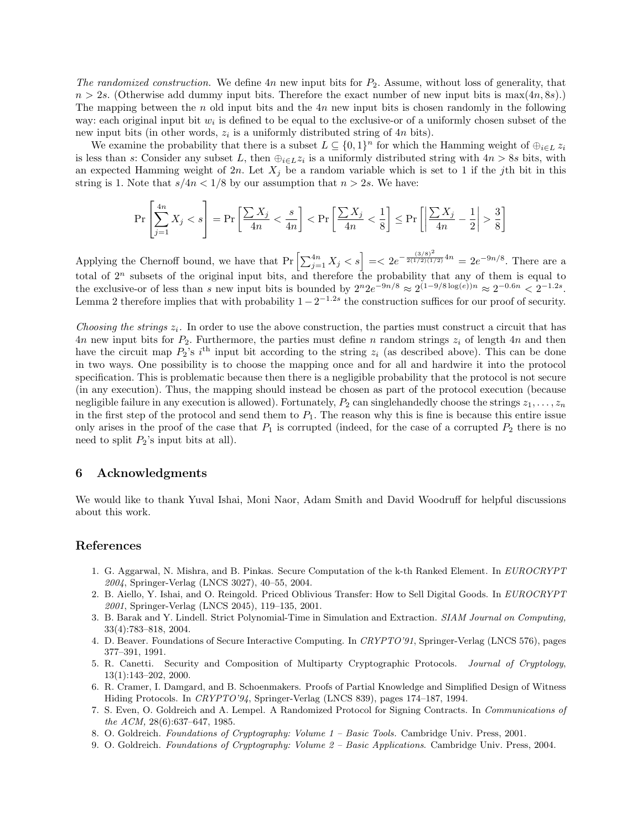The randomized construction. We define  $4n$  new input bits for  $P_2$ . Assume, without loss of generality, that  $n > 2s$ . (Otherwise add dummy input bits. Therefore the exact number of new input bits is max $(4n, 8s)$ .) The mapping between the n old input bits and the  $4n$  new input bits is chosen randomly in the following way: each original input bit  $w_i$  is defined to be equal to the exclusive-or of a uniformly chosen subset of the new input bits (in other words,  $z_i$  is a uniformly distributed string of  $4n$  bits).

We examine the probability that there is a subset  $L \subseteq \{0,1\}^n$  for which the Hamming weight of  $\bigoplus_{i \in L} z_i$ is less than s: Consider any subset L, then  $\bigoplus_{i\in L}z_i$  is a uniformly distributed string with  $4n > 8s$  bits, with an expected Hamming weight of  $2n$ . Let  $X_j$  be a random variable which is set to 1 if the jth bit in this string is 1. Note that  $s/4n < 1/8$  by our assumption that  $n > 2s$ . We have:

$$
\Pr\left[\sum_{j=1}^{4n} X_j < s\right] = \Pr\left[\frac{\sum X_j}{4n} < \frac{s}{4n}\right] < \Pr\left[\frac{\sum X_j}{4n} < \frac{1}{8}\right] \le \Pr\left[\left|\frac{\sum X_j}{4n} - \frac{1}{2}\right| > \frac{3}{8}\right]
$$

Applying the Chernoff bound, we have that  $Pr\left[\sum_{j=1}^{4n} X_j < s\right] = 2e^{-\frac{(3/8)^2}{2(1/2)(1/2)}4n} = 2e^{-9n/8}$ . There are a total of  $2^n$  subsets of the original input bits, and therefore the probability that any of them is equal to the exclusive-or of less than s new input bits is bounded by  $2^n 2e^{-9n/8} \approx 2^{(1-9/8 \log(e))n} \approx 2^{-0.6n} < 2^{-1.2s}$ . Lemma 2 therefore implies that with probability  $1 - 2^{-1.2s}$  the construction suffices for our proof of security.

Choosing the strings  $z_i$ . In order to use the above construction, the parties must construct a circuit that has 4n new input bits for  $P_2$ . Furthermore, the parties must define n random strings  $z_i$  of length 4n and then have the circuit map  $P_2$ 's i<sup>th</sup> input bit according to the string  $z_i$  (as described above). This can be done in two ways. One possibility is to choose the mapping once and for all and hardwire it into the protocol specification. This is problematic because then there is a negligible probability that the protocol is not secure (in any execution). Thus, the mapping should instead be chosen as part of the protocol execution (because negligible failure in any execution is allowed). Fortunately,  $P_2$  can singlehandedly choose the strings  $z_1, \ldots, z_n$ in the first step of the protocol and send them to  $P_1$ . The reason why this is fine is because this entire issue only arises in the proof of the case that  $P_1$  is corrupted (indeed, for the case of a corrupted  $P_2$  there is no need to split  $P_2$ 's input bits at all).

## 6 Acknowledgments

We would like to thank Yuval Ishai, Moni Naor, Adam Smith and David Woodruff for helpful discussions about this work.

## References

- 1. G. Aggarwal, N. Mishra, and B. Pinkas. Secure Computation of the k-th Ranked Element. In EUROCRYPT 2004, Springer-Verlag (LNCS 3027), 40–55, 2004.
- 2. B. Aiello, Y. Ishai, and O. Reingold. Priced Oblivious Transfer: How to Sell Digital Goods. In EUROCRYPT 2001, Springer-Verlag (LNCS 2045), 119–135, 2001.
- 3. B. Barak and Y. Lindell. Strict Polynomial-Time in Simulation and Extraction. SIAM Journal on Computing, 33(4):783–818, 2004.
- 4. D. Beaver. Foundations of Secure Interactive Computing. In CRYPTO'91, Springer-Verlag (LNCS 576), pages 377–391, 1991.
- 5. R. Canetti. Security and Composition of Multiparty Cryptographic Protocols. Journal of Cryptology, 13(1):143–202, 2000.
- 6. R. Cramer, I. Damgard, and B. Schoenmakers. Proofs of Partial Knowledge and Simplified Design of Witness Hiding Protocols. In CRYPTO'94, Springer-Verlag (LNCS 839), pages 174–187, 1994.
- 7. S. Even, O. Goldreich and A. Lempel. A Randomized Protocol for Signing Contracts. In Communications of the ACM, 28(6):637–647, 1985.
- 8. O. Goldreich. Foundations of Cryptography: Volume 1 Basic Tools. Cambridge Univ. Press, 2001.
- 9. O. Goldreich. Foundations of Cryptography: Volume 2 Basic Applications. Cambridge Univ. Press, 2004.